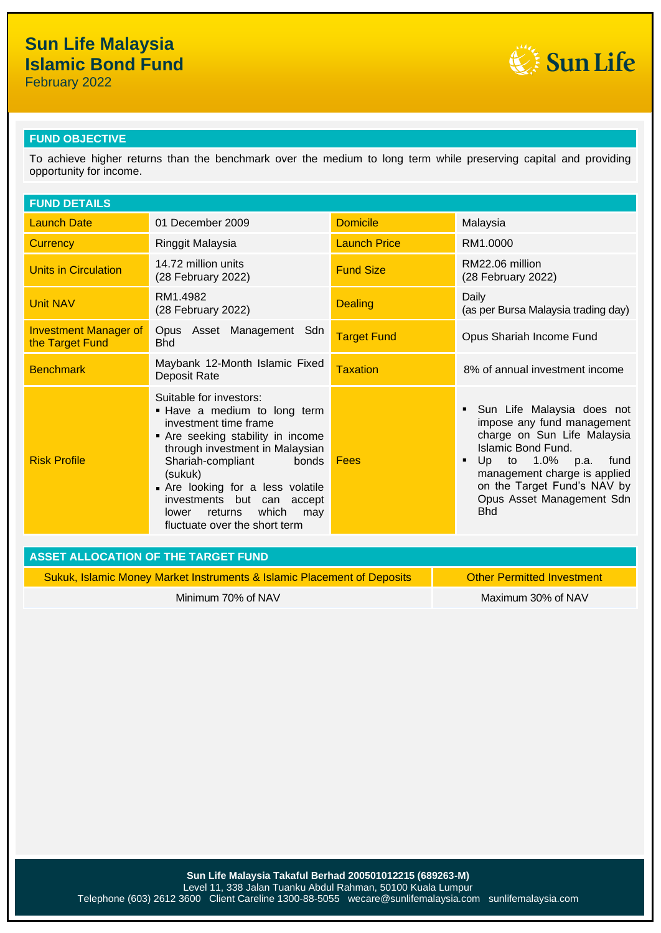February 2022



### **FUND OBJECTIVE**

To achieve higher returns than the benchmark over the medium to long term while preserving capital and providing opportunity for income.

| <b>FUND DETAILS</b>                                                                                          |                                                                                                                                                                                                                                                                                                                                         |                     |                                                                                                                                                                                                                                                                 |  |
|--------------------------------------------------------------------------------------------------------------|-----------------------------------------------------------------------------------------------------------------------------------------------------------------------------------------------------------------------------------------------------------------------------------------------------------------------------------------|---------------------|-----------------------------------------------------------------------------------------------------------------------------------------------------------------------------------------------------------------------------------------------------------------|--|
| <b>Launch Date</b>                                                                                           | 01 December 2009                                                                                                                                                                                                                                                                                                                        | <b>Domicile</b>     | Malaysia                                                                                                                                                                                                                                                        |  |
| <b>Currency</b>                                                                                              | Ringgit Malaysia                                                                                                                                                                                                                                                                                                                        | <b>Launch Price</b> | RM1.0000                                                                                                                                                                                                                                                        |  |
| <b>Units in Circulation</b>                                                                                  | 14.72 million units<br>(28 February 2022)                                                                                                                                                                                                                                                                                               | <b>Fund Size</b>    | RM22.06 million<br>(28 February 2022)                                                                                                                                                                                                                           |  |
| <b>Unit NAV</b>                                                                                              | RM1.4982<br>(28 February 2022)                                                                                                                                                                                                                                                                                                          | <b>Dealing</b>      | Daily<br>(as per Bursa Malaysia trading day)                                                                                                                                                                                                                    |  |
| <b>Investment Manager of</b><br>the Target Fund                                                              | Opus Asset Management Sdn<br><b>Bhd</b>                                                                                                                                                                                                                                                                                                 | <b>Target Fund</b>  | Opus Shariah Income Fund                                                                                                                                                                                                                                        |  |
| <b>Benchmark</b>                                                                                             | Maybank 12-Month Islamic Fixed<br>Deposit Rate                                                                                                                                                                                                                                                                                          | Taxation            | 8% of annual investment income                                                                                                                                                                                                                                  |  |
| <b>Risk Profile</b>                                                                                          | Suitable for investors:<br>. Have a medium to long term<br>investment time frame<br>• Are seeking stability in income<br>through investment in Malaysian<br>Shariah-compliant<br>bonds<br>(sukuk)<br>Are looking for a less volatile<br>investments but can accept<br>which<br>returns<br>lower<br>may<br>fluctuate over the short term | Fees                | Sun Life Malaysia does not<br>٠<br>impose any fund management<br>charge on Sun Life Malaysia<br>Islamic Bond Fund.<br>Up<br>to 1.0% p.a.<br>fund<br>٠<br>management charge is applied<br>on the Target Fund's NAV by<br>Opus Asset Management Sdn<br><b>Bhd</b> |  |
| <b>ASSET ALLOCATION OF THE TARGET FUND</b>                                                                   |                                                                                                                                                                                                                                                                                                                                         |                     |                                                                                                                                                                                                                                                                 |  |
| <b>Other Permitted Investment</b><br>Sukuk, Islamic Money Market Instruments & Islamic Placement of Deposits |                                                                                                                                                                                                                                                                                                                                         |                     |                                                                                                                                                                                                                                                                 |  |

Minimum 70% of NAV Maximum 30% of NAV Maximum 30% of NAV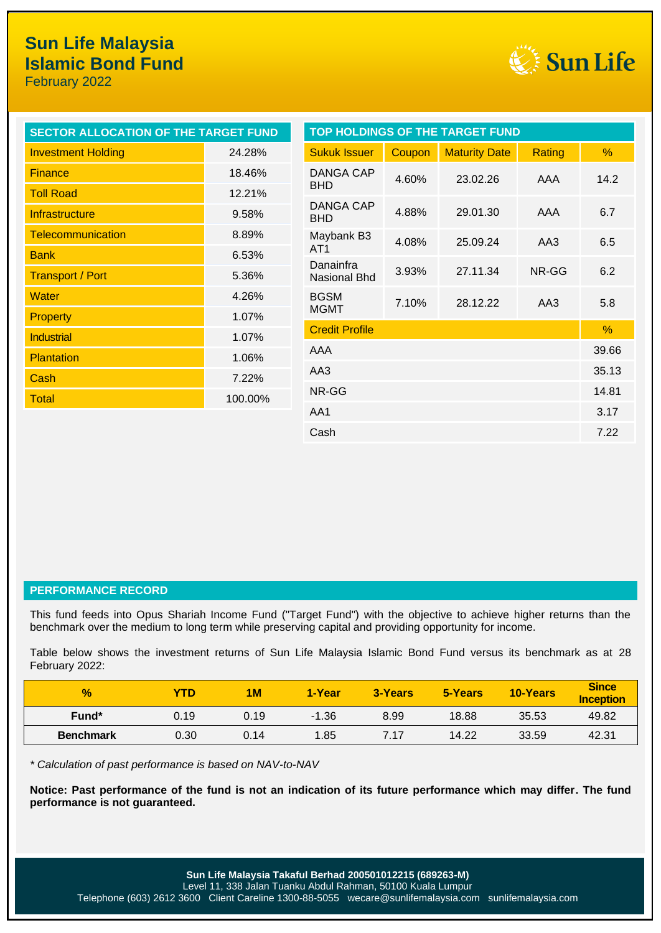February 2022



| <b>SECTOR ALLOCATION OF THE TARGET FUND</b> |              |                           |        | TOP HOLDINGS OF THE TARGET FUND |        |               |
|---------------------------------------------|--------------|---------------------------|--------|---------------------------------|--------|---------------|
| <b>Investment Holding</b>                   | 24.28%       | <b>Sukuk Issuer</b>       | Coupon | <b>Maturity Date</b>            | Rating | %             |
| <b>Finance</b>                              | 18.46%       | DANGA CAP                 | 4.60%  | 23.02.26                        | AAA    | 14.2          |
| <b>Toll Road</b>                            | 12.21%       | <b>BHD</b>                |        |                                 |        |               |
| Infrastructure                              | 9.58%        | DANGA CAP<br><b>BHD</b>   | 4.88%  | 29.01.30                        | AAA    | 6.7           |
| <b>Telecommunication</b>                    | 8.89%        | Maybank B3                | 4.08%  | 25.09.24                        | AA3    | 6.5           |
| <b>Bank</b>                                 | 6.53%        | AT <sub>1</sub>           |        |                                 |        |               |
| <b>Transport / Port</b>                     | 5.36%        | Danainfra<br>Nasional Bhd | 3.93%  | 27.11.34                        | NR-GG  | 6.2           |
| <b>Water</b>                                | 4.26%        | <b>BGSM</b>               | 7.10%  | 28.12.22                        | AA3    | 5.8           |
| <b>Property</b>                             | 1.07%        | <b>MGMT</b>               |        |                                 |        |               |
| <b>Industrial</b>                           | 1.07%        | <b>Credit Profile</b>     |        |                                 |        | $\frac{9}{6}$ |
| <b>Plantation</b>                           | AAA<br>1.06% |                           | 39.66  |                                 |        |               |
| Cash                                        | AA3<br>7.22% |                           | 35.13  |                                 |        |               |
| <b>Total</b>                                | 100.00%      | NR-GG                     |        |                                 |        | 14.81         |
|                                             |              | AA1                       |        |                                 | 3.17   |               |
|                                             |              | Cash                      |        |                                 |        | 7.22          |

#### **PERFORMANCE RECORD**

This fund feeds into Opus Shariah Income Fund ("Target Fund") with the objective to achieve higher returns than the benchmark over the medium to long term while preserving capital and providing opportunity for income.

Table below shows the investment returns of Sun Life Malaysia Islamic Bond Fund versus its benchmark as at 28 February 2022:

| $\frac{9}{6}$    | YTD  | <b>1M</b> | 1-Year  | 3-Years | 5-Years | <b>10-Years</b> | <b>Since</b><br><b>Inception</b> |
|------------------|------|-----------|---------|---------|---------|-----------------|----------------------------------|
| Fund*            | 0.19 | 0.19      | $-1.36$ | 8.99    | 18.88   | 35.53           | 49.82                            |
| <b>Benchmark</b> | 0.30 | 0.14      | 1.85    | 7.17    | 14.22   | 33.59           | 42.31                            |

*\* Calculation of past performance is based on NAV-to-NAV*

**Notice: Past performance of the fund is not an indication of its future performance which may differ. The fund performance is not guaranteed.**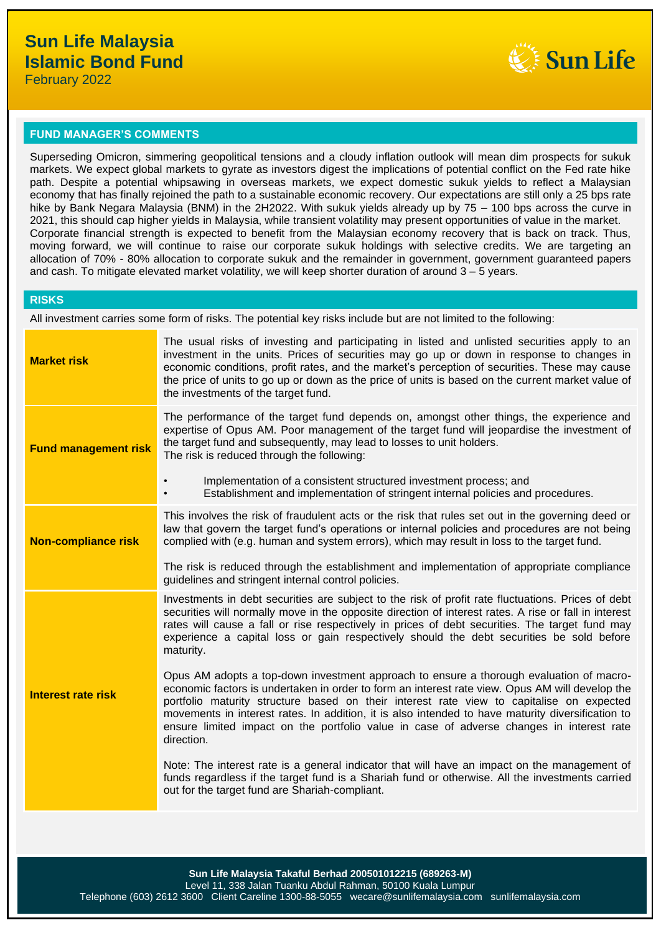

#### **FUND MANAGER'S COMMENTS**

Superseding Omicron, simmering geopolitical tensions and a cloudy inflation outlook will mean dim prospects for sukuk markets. We expect global markets to gyrate as investors digest the implications of potential conflict on the Fed rate hike path. Despite a potential whipsawing in overseas markets, we expect domestic sukuk yields to reflect a Malaysian economy that has finally rejoined the path to a sustainable economic recovery. Our expectations are still only a 25 bps rate hike by Bank Negara Malaysia (BNM) in the 2H2022. With sukuk yields already up by 75 – 100 bps across the curve in 2021, this should cap higher yields in Malaysia, while transient volatility may present opportunities of value in the market. Corporate financial strength is expected to benefit from the Malaysian economy recovery that is back on track. Thus, moving forward, we will continue to raise our corporate sukuk holdings with selective credits. We are targeting an allocation of 70% - 80% allocation to corporate sukuk and the remainder in government, government guaranteed papers and cash. To mitigate elevated market volatility, we will keep shorter duration of around 3 – 5 years.

#### **RISKS**

All investment carries some form of risks. The potential key risks include but are not limited to the following:

| <b>Market risk</b>          | The usual risks of investing and participating in listed and unlisted securities apply to an<br>investment in the units. Prices of securities may go up or down in response to changes in<br>economic conditions, profit rates, and the market's perception of securities. These may cause<br>the price of units to go up or down as the price of units is based on the current market value of<br>the investments of the target fund.                                                                |
|-----------------------------|-------------------------------------------------------------------------------------------------------------------------------------------------------------------------------------------------------------------------------------------------------------------------------------------------------------------------------------------------------------------------------------------------------------------------------------------------------------------------------------------------------|
| <b>Fund management risk</b> | The performance of the target fund depends on, amongst other things, the experience and<br>expertise of Opus AM. Poor management of the target fund will jeopardise the investment of<br>the target fund and subsequently, may lead to losses to unit holders.<br>The risk is reduced through the following:                                                                                                                                                                                          |
|                             | Implementation of a consistent structured investment process; and<br>$\bullet$<br>Establishment and implementation of stringent internal policies and procedures.<br>$\bullet$                                                                                                                                                                                                                                                                                                                        |
| <b>Non-compliance risk</b>  | This involves the risk of fraudulent acts or the risk that rules set out in the governing deed or<br>law that govern the target fund's operations or internal policies and procedures are not being<br>complied with (e.g. human and system errors), which may result in loss to the target fund.                                                                                                                                                                                                     |
|                             | The risk is reduced through the establishment and implementation of appropriate compliance<br>guidelines and stringent internal control policies.                                                                                                                                                                                                                                                                                                                                                     |
| <b>Interest rate risk</b>   | Investments in debt securities are subject to the risk of profit rate fluctuations. Prices of debt<br>securities will normally move in the opposite direction of interest rates. A rise or fall in interest<br>rates will cause a fall or rise respectively in prices of debt securities. The target fund may<br>experience a capital loss or gain respectively should the debt securities be sold before<br>maturity.                                                                                |
|                             | Opus AM adopts a top-down investment approach to ensure a thorough evaluation of macro-<br>economic factors is undertaken in order to form an interest rate view. Opus AM will develop the<br>portfolio maturity structure based on their interest rate view to capitalise on expected<br>movements in interest rates. In addition, it is also intended to have maturity diversification to<br>ensure limited impact on the portfolio value in case of adverse changes in interest rate<br>direction. |
|                             | Note: The interest rate is a general indicator that will have an impact on the management of<br>funds regardless if the target fund is a Shariah fund or otherwise. All the investments carried<br>out for the target fund are Shariah-compliant.                                                                                                                                                                                                                                                     |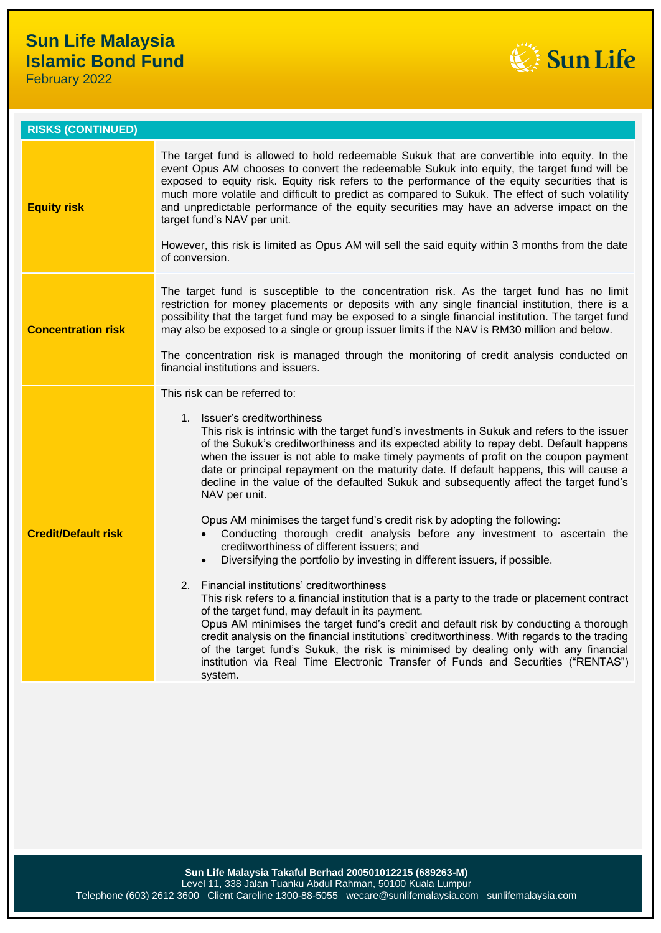February 2022



| <b>RISKS (CONTINUED)</b>   |                                                                                                                                                                                                                                                                                                                                                                                                                                                                                                                                                                                                                                                  |
|----------------------------|--------------------------------------------------------------------------------------------------------------------------------------------------------------------------------------------------------------------------------------------------------------------------------------------------------------------------------------------------------------------------------------------------------------------------------------------------------------------------------------------------------------------------------------------------------------------------------------------------------------------------------------------------|
| <b>Equity risk</b>         | The target fund is allowed to hold redeemable Sukuk that are convertible into equity. In the<br>event Opus AM chooses to convert the redeemable Sukuk into equity, the target fund will be<br>exposed to equity risk. Equity risk refers to the performance of the equity securities that is<br>much more volatile and difficult to predict as compared to Sukuk. The effect of such volatility<br>and unpredictable performance of the equity securities may have an adverse impact on the<br>target fund's NAV per unit.<br>However, this risk is limited as Opus AM will sell the said equity within 3 months from the date<br>of conversion. |
| <b>Concentration risk</b>  | The target fund is susceptible to the concentration risk. As the target fund has no limit<br>restriction for money placements or deposits with any single financial institution, there is a<br>possibility that the target fund may be exposed to a single financial institution. The target fund<br>may also be exposed to a single or group issuer limits if the NAV is RM30 million and below.<br>The concentration risk is managed through the monitoring of credit analysis conducted on<br>financial institutions and issuers.                                                                                                             |
|                            | This risk can be referred to:                                                                                                                                                                                                                                                                                                                                                                                                                                                                                                                                                                                                                    |
|                            | 1. Issuer's creditworthiness<br>This risk is intrinsic with the target fund's investments in Sukuk and refers to the issuer<br>of the Sukuk's creditworthiness and its expected ability to repay debt. Default happens<br>when the issuer is not able to make timely payments of profit on the coupon payment<br>date or principal repayment on the maturity date. If default happens, this will cause a<br>decline in the value of the defaulted Sukuk and subsequently affect the target fund's<br>NAV per unit.<br>Opus AM minimises the target fund's credit risk by adopting the following:                                                 |
| <b>Credit/Default risk</b> | Conducting thorough credit analysis before any investment to ascertain the<br>creditworthiness of different issuers; and<br>Diversifying the portfolio by investing in different issuers, if possible.<br>$\bullet$                                                                                                                                                                                                                                                                                                                                                                                                                              |
|                            | 2. Financial institutions' creditworthiness<br>This risk refers to a financial institution that is a party to the trade or placement contract<br>of the target fund, may default in its payment.<br>Opus AM minimises the target fund's credit and default risk by conducting a thorough<br>credit analysis on the financial institutions' creditworthiness. With regards to the trading<br>of the target fund's Sukuk, the risk is minimised by dealing only with any financial<br>institution via Real Time Electronic Transfer of Funds and Securities ("RENTAS")<br>system.                                                                  |